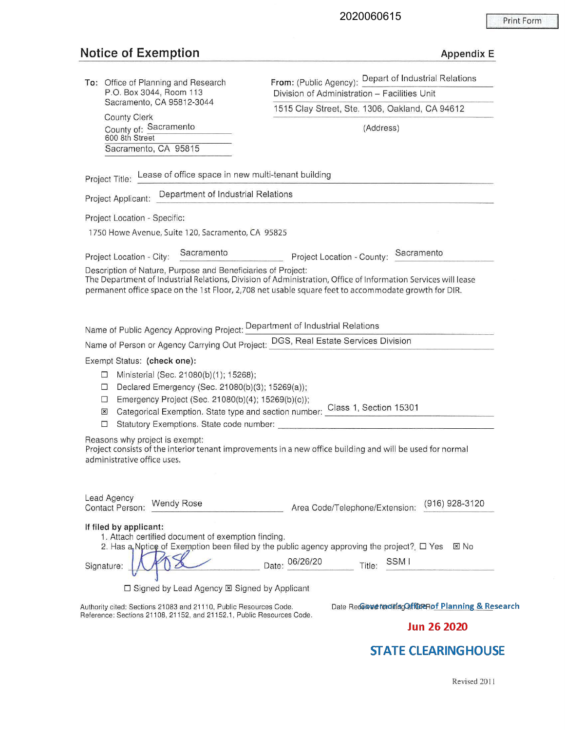### **Notice of Exemption Appendix E** Appendix E

| To: Office of Planning and Research<br>P.O. Box 3044, Room 113<br>Sacramento, CA 95812-3044 |  |  |  |  |
|---------------------------------------------------------------------------------------------|--|--|--|--|
| <b>County Clerk</b><br>County of: Sacramento<br>600 8th Street                              |  |  |  |  |
| Sacramento, CA 95815                                                                        |  |  |  |  |
|                                                                                             |  |  |  |  |

**From:** (Public Agency): Depart of Industrial Relations Division of Administration - Facilities Unit 1515 Clay Street, Ste. 1306, Oakland, CA 94612

(Address)

Project Title: Lease of office space in new multi-tenant building

Project Applicant: Department of Industrial Relations

Project Location - Specific:

1750 Howe Avenue, Suite 120, Sacramento, CA 95825

Project Location - City: Sacramento **Project Location - County: Sacramento** Project Location - County: Sacramento

Description of Nature, Purpose and Beneficiaries of Project:

The Department of Industrial Relations, Division of Administration, Office of Information Services will lease permanent office space on the 1st Floor, 2,708 net usable square feet to accommodate growth for DIR.

Name of Public Agency Approving Project: Department of Industrial Relations

Name of Person or Agency Carrying Out Project: DGS, Real Estate Services Division

Exempt Status: **(check one):** 

- □ Ministerial (Sec. 21080(b)(1 ); 15268);
- □ Declared Emergency (Sec. 21080(b)(3); 15269(a));
- □ Emergency Project (Sec. 21080(b)(4); 15269(b)(c));
- <sup>~</sup>Categorical Exemption. State type and section number: Class 1, Section 15301
- □ Statutory Exemptions. State code number: \_\_\_\_\_\_\_\_\_\_ \_ \_ \_ \_ \_\_\_\_\_\_ \_

Reasons why project is exempt:

Project consists of the interior tenant improvements in a new office building and will be used for normal administrative office uses.

| Lead Agency<br><b>Contact Person:</b> | <b>Wendy Rose</b>                                                                                                                                                                                     | Area Code/Telephone/Extension: | (916) 928-3120                                            |
|---------------------------------------|-------------------------------------------------------------------------------------------------------------------------------------------------------------------------------------------------------|--------------------------------|-----------------------------------------------------------|
| If filed by applicant:<br>Signature:  | 1. Attach certified document of exemption finding.<br>2. Has a Notice of Exemption been filed by the public agency approving the project? $\Box$ Yes<br>□ Signed by Lead Agency ⊠ Signed by Applicant | Date: 06/26/20<br>Title:       | $\boxtimes$ No<br>SSM I                                   |
|                                       | Authority cited: Sections 21083 and 21110, Public Resources Code.<br>Reference: Sections 21108, 21152, and 21152.1, Public Resources Code.                                                            |                                | Date Redeined for diring Caff CuRR of Planning & Research |

**Jun 26 2020** 

### **STATE CLEARINGHOUSE**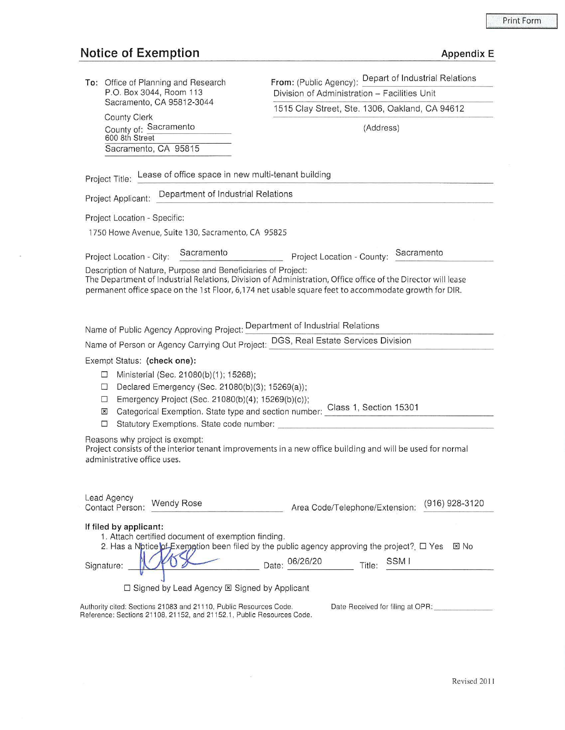# **Notice of Exemption** Appendix Equation Appendix Equation Appendix Equation Appendix Equation Appendix Equation Appendix Equation Appendix Equation Appendix Equation Appendix Equation Appendix Equation Appendix Equation Ap

 $\overline{a}$ 

|  |  |  | Appendix E |
|--|--|--|------------|
|  |  |  |            |

| To: Office of Planning and Research                                                                                                                                                                                            | From: (Public Agency): Depart of Industrial Relations                                                                                                                                                                |  |  |  |  |  |
|--------------------------------------------------------------------------------------------------------------------------------------------------------------------------------------------------------------------------------|----------------------------------------------------------------------------------------------------------------------------------------------------------------------------------------------------------------------|--|--|--|--|--|
| P.O. Box 3044, Room 113<br>Sacramento, CA 95812-3044                                                                                                                                                                           | Division of Administration - Facilities Unit                                                                                                                                                                         |  |  |  |  |  |
| <b>County Clerk</b>                                                                                                                                                                                                            | 1515 Clay Street, Ste. 1306, Oakland, CA 94612                                                                                                                                                                       |  |  |  |  |  |
| County of: Sacramento                                                                                                                                                                                                          | (Address)                                                                                                                                                                                                            |  |  |  |  |  |
| 600 8th Street                                                                                                                                                                                                                 |                                                                                                                                                                                                                      |  |  |  |  |  |
| Sacramento, CA 95815                                                                                                                                                                                                           |                                                                                                                                                                                                                      |  |  |  |  |  |
| Project Title: Lease of office space in new multi-tenant building                                                                                                                                                              |                                                                                                                                                                                                                      |  |  |  |  |  |
| Project Applicant: Department of Industrial Relations                                                                                                                                                                          |                                                                                                                                                                                                                      |  |  |  |  |  |
| Project Location - Specific:                                                                                                                                                                                                   |                                                                                                                                                                                                                      |  |  |  |  |  |
| 1750 Howe Avenue, Suite 130, Sacramento, CA 95825                                                                                                                                                                              |                                                                                                                                                                                                                      |  |  |  |  |  |
| Sacramento<br>Project Location - City:                                                                                                                                                                                         | Project Location - County: Sacramento                                                                                                                                                                                |  |  |  |  |  |
| Description of Nature, Purpose and Beneficiaries of Project:                                                                                                                                                                   | The Department of Industrial Relations, Division of Administration, Office office of the Director will lease<br>permanent office space on the 1st Floor, 6,174 net usable square feet to accommodate growth for DIR. |  |  |  |  |  |
| Name of Public Agency Approving Project: Department of Industrial Relations                                                                                                                                                    |                                                                                                                                                                                                                      |  |  |  |  |  |
| Name of Person or Agency Carrying Out Project: DGS, Real Estate Services Division                                                                                                                                              |                                                                                                                                                                                                                      |  |  |  |  |  |
| Exempt Status: (check one):<br>Ministerial (Sec. 21080(b)(1); 15268);<br>□<br>Declared Emergency (Sec. 21080(b)(3); 15269(a));<br>□<br>Emergency Project (Sec. 21080(b)(4); 15269(b)(c));<br>□<br>$\overline{\mathbf{x}}$<br>□ | Categorical Exemption. State type and section number: Class 1, Section 15301<br>Statutory Exemptions. State code number:                                                                                             |  |  |  |  |  |
| Reasons why project is exempt:<br>administrative office uses.                                                                                                                                                                  | Project consists of the interior tenant improvements in a new office building and will be used for normal                                                                                                            |  |  |  |  |  |
| Lead Agency<br><b>Wendy Rose</b><br>Contact Person:                                                                                                                                                                            | (916) 928-3120<br>Area Code/Telephone/Extension:                                                                                                                                                                     |  |  |  |  |  |
| If filed by applicant:<br>1. Attach certified document of exemption finding.<br>Signature:                                                                                                                                     | 2. Has a Notice of Exemption been filed by the public agency approving the project? □ Yes<br>$\boxtimes$ No<br>Date: 06/26/20<br>SSM I<br>Title:                                                                     |  |  |  |  |  |
| $\Box$ Signed by Lead Agency $\boxtimes$ Signed by Applicant                                                                                                                                                                   |                                                                                                                                                                                                                      |  |  |  |  |  |
| Authority cited: Sections 21083 and 21110, Public Resources Code.                                                                                                                                                              | Date Received for filing at OPR:                                                                                                                                                                                     |  |  |  |  |  |
| Reference: Sections 21108, 21152, and 21152.1, Public Resources Code.                                                                                                                                                          |                                                                                                                                                                                                                      |  |  |  |  |  |
|                                                                                                                                                                                                                                |                                                                                                                                                                                                                      |  |  |  |  |  |